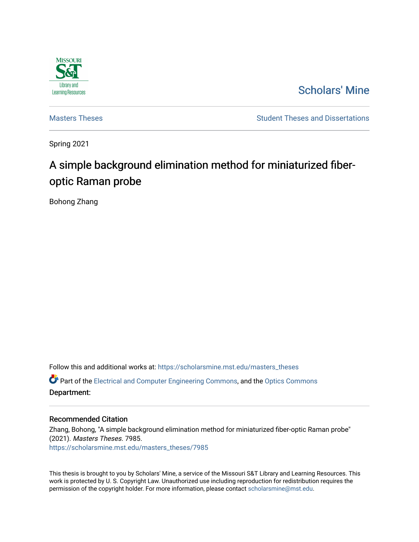

# [Scholars' Mine](https://scholarsmine.mst.edu/)

[Masters Theses](https://scholarsmine.mst.edu/masters_theses) **Student Theses and Dissertations** Student Theses and Dissertations

Spring 2021

# A simple background elimination method for miniaturized fiberoptic Raman probe

Bohong Zhang

Follow this and additional works at: [https://scholarsmine.mst.edu/masters\\_theses](https://scholarsmine.mst.edu/masters_theses?utm_source=scholarsmine.mst.edu%2Fmasters_theses%2F7985&utm_medium=PDF&utm_campaign=PDFCoverPages)  Part of the [Electrical and Computer Engineering Commons](http://network.bepress.com/hgg/discipline/266?utm_source=scholarsmine.mst.edu%2Fmasters_theses%2F7985&utm_medium=PDF&utm_campaign=PDFCoverPages), and the [Optics Commons](http://network.bepress.com/hgg/discipline/204?utm_source=scholarsmine.mst.edu%2Fmasters_theses%2F7985&utm_medium=PDF&utm_campaign=PDFCoverPages) Department:

### Recommended Citation

Zhang, Bohong, "A simple background elimination method for miniaturized fiber-optic Raman probe" (2021). Masters Theses. 7985. [https://scholarsmine.mst.edu/masters\\_theses/7985](https://scholarsmine.mst.edu/masters_theses/7985?utm_source=scholarsmine.mst.edu%2Fmasters_theses%2F7985&utm_medium=PDF&utm_campaign=PDFCoverPages) 

This thesis is brought to you by Scholars' Mine, a service of the Missouri S&T Library and Learning Resources. This work is protected by U. S. Copyright Law. Unauthorized use including reproduction for redistribution requires the permission of the copyright holder. For more information, please contact [scholarsmine@mst.edu](mailto:scholarsmine@mst.edu).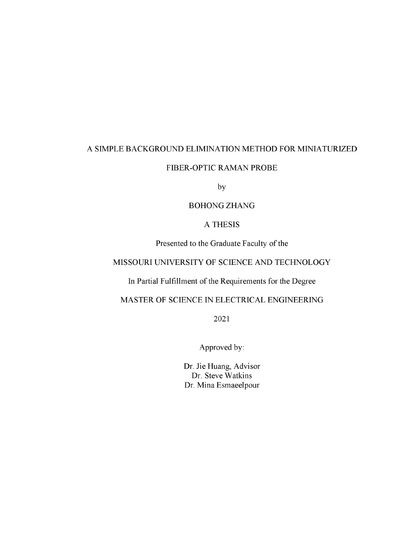# A SIMPLE BACKGROUND ELIMINATION METHOD FOR MINIATURIZED

# FIBER-OPTIC RAMAN PROBE

by

## BOHONGZHANG

## A THESIS

Presented to the Graduate Faculty of the

# MISSOURI UNIVERSITY OF SCIENCE AND TECHNOLOGY

In Partial Fulfillment of the Requirements for the Degree

MASTER OF SCIENCE IN ELECTRICAL ENGINEERING

2021

Approved by:

Dr. Jie Huang, Advisor Dr. Steve Watkins Dr. Mina Esmaeelpour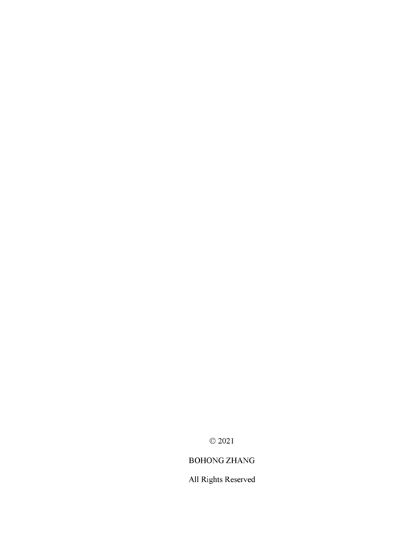© 2021

# BOHONG ZHANG

All Rights Reserved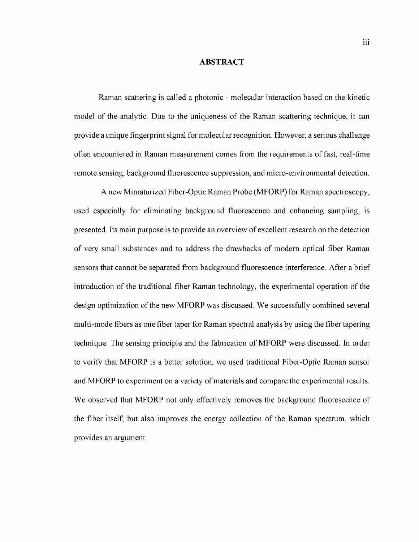#### <span id="page-3-0"></span>**ABSTRACT**

Raman scattering is called a photonic - molecular interaction based on the kinetic model of the analytic. Due to the uniqueness of the Raman scattering technique, it can provide a unique fingerprint signal for molecular recognition. However, a serious challenge often encountered in Raman measurement comes from the requirements of fast, real-time remote sensing, background fluorescence suppression, and micro-environmental detection.

A new Miniaturized Fiber-Optic Raman Probe (MFORP) for Raman spectroscopy, used especially for eliminating background fluorescence and enhancing sampling, is presented. Its main purpose is to provide an overview of excellent research on the detection of very small substances and to address the drawbacks of modern optical fiber Raman sensors that cannot be separated from background fluorescence interference. After a brief introduction of the traditional fiber Raman technology, the experimental operation of the design optimization of the new MFORP was discussed. We successfully combined several multi-mode fibers as one fiber taper for Raman spectral analysis by using the fiber tapering technique. The sensing principle and the fabrication of MFORP were discussed. In order to verify that MFORP is a better solution, we used traditional Fiber-Optic Raman sensor and MFORP to experiment on a variety of materials and compare the experimental results. We observed that MFORP not only effectively removes the background fluorescence of the fiber itself, but also improves the energy collection of the Raman spectrum, which provides an argument.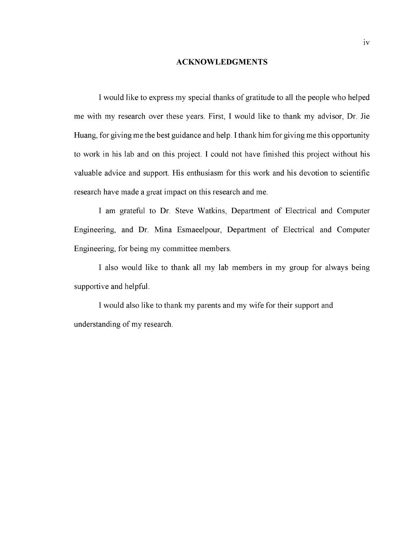#### **ACKNOWLEDGMENTS**

<span id="page-4-0"></span>I would like to express my special thanks of gratitude to all the people who helped me with my research over these years. First, I would like to thank my advisor, Dr. Jie Huang, for giving me the best guidance and help. I thank him for giving me this opportunity to work in his lab and on this project. I could not have finished this project without his valuable advice and support. His enthusiasm for this work and his devotion to scientific research have made a great impact on this research and me.

I am grateful to Dr. Steve Watkins, Department of Electrical and Computer Engineering, and Dr. Mina Esmaeelpour, Department of Electrical and Computer Engineering, for being my committee members.

I also would like to thank all my lab members in my group for always being supportive and helpful.

I would also like to thank my parents and my wife for their support and understanding of my research.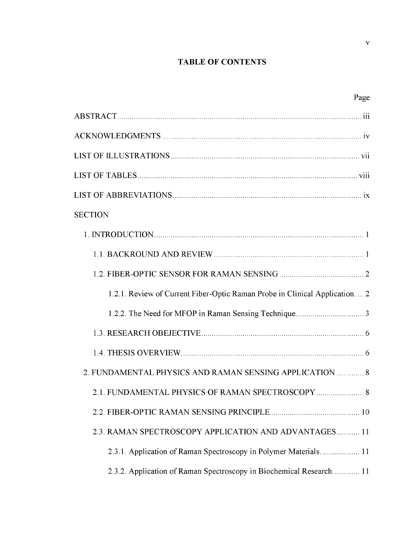# **TABLE OF CONTENTS**

| Page                                                                       |
|----------------------------------------------------------------------------|
|                                                                            |
|                                                                            |
|                                                                            |
|                                                                            |
|                                                                            |
| <b>SECTION</b>                                                             |
|                                                                            |
|                                                                            |
|                                                                            |
| 1.2.1. Review of Current Fiber-Optic Raman Probe in Clinical Application 2 |
|                                                                            |
|                                                                            |
|                                                                            |
| 2. FUNDAMENTAL PHYSICS AND RAMAN SENSING APPLICATION  8                    |
|                                                                            |
|                                                                            |
| 2.3. RAMAN SPECTROSCOPY APPLICATION AND ADVANTAGES 11                      |
| 2.3.1. Application of Raman Spectroscopy in Polymer Materials.  11         |
| 2.3.2. Application of Raman Spectroscopy in Biochemical Research 11        |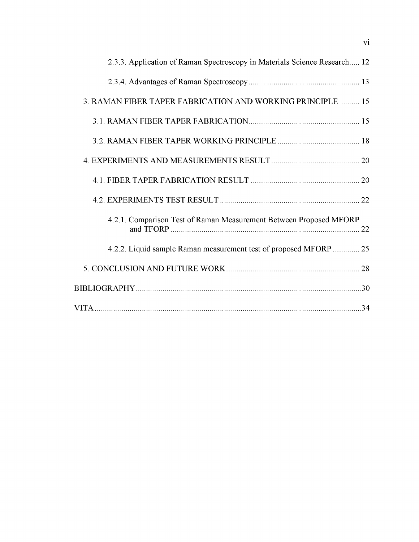| 2.3.3. Application of Raman Spectroscopy in Materials Science Research 12 |    |
|---------------------------------------------------------------------------|----|
|                                                                           |    |
| 3. RAMAN FIBER TAPER FABRICATION AND WORKING PRINCIPLE 15                 |    |
|                                                                           |    |
|                                                                           |    |
|                                                                           |    |
|                                                                           |    |
|                                                                           |    |
| 4.2.1. Comparison Test of Raman Measurement Between Proposed MFORP        | 22 |
| 4.2.2. Liquid sample Raman measurement test of proposed MFORP  25         |    |
|                                                                           |    |
|                                                                           |    |
|                                                                           |    |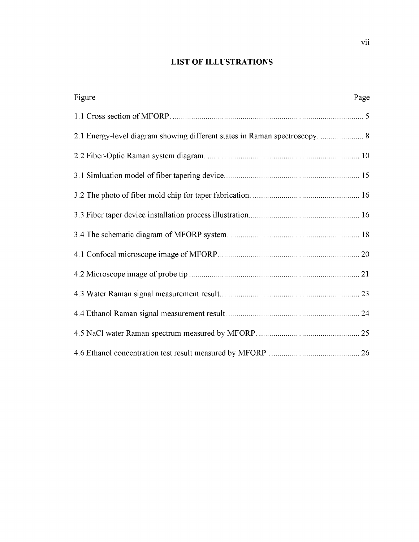# **LIST OF ILLUSTRATIONS**

<span id="page-7-0"></span>

| Figure                                                                      | Page |
|-----------------------------------------------------------------------------|------|
|                                                                             |      |
| 2.1 Energy-level diagram showing different states in Raman spectroscopy.  8 |      |
|                                                                             |      |
|                                                                             |      |
|                                                                             |      |
|                                                                             |      |
|                                                                             |      |
|                                                                             |      |
|                                                                             |      |
|                                                                             |      |
|                                                                             |      |
|                                                                             |      |
|                                                                             |      |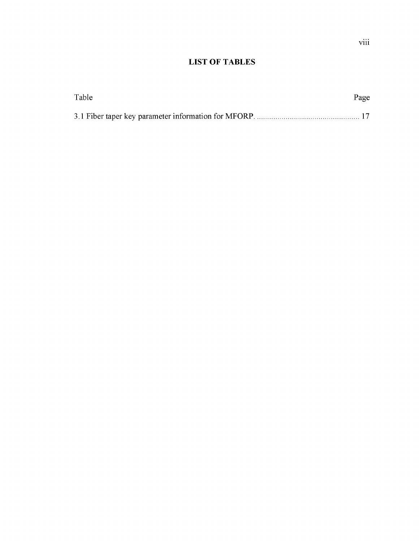# <span id="page-8-0"></span>**LIST OF TABLES**

| Table | Page |
|-------|------|
|       |      |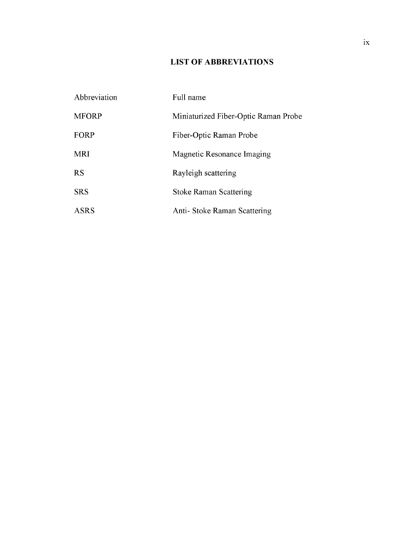# **LIST OF ABBREVIATIONS**

| Abbreviation | Full name                            |
|--------------|--------------------------------------|
| <b>MFORP</b> | Miniaturized Fiber-Optic Raman Probe |
| <b>FORP</b>  | Fiber-Optic Raman Probe              |
| MRI          | Magnetic Resonance Imaging           |
| RS           | Rayleigh scattering                  |
| <b>SRS</b>   | <b>Stoke Raman Scattering</b>        |
| ASRS         | Anti- Stoke Raman Scattering         |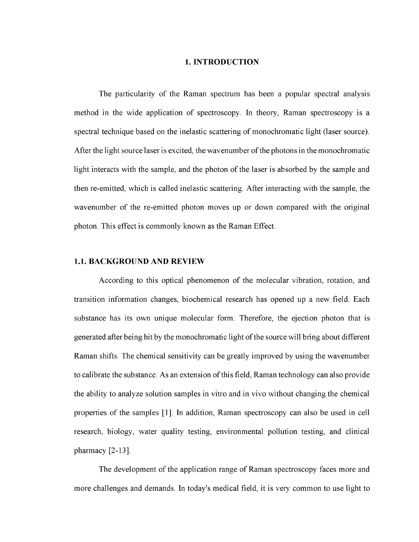#### **1. INTRODUCTION**

The particularity of the Raman spectrum has been a popular spectral analysis method in the wide application of spectroscopy. In theory, Raman spectroscopy is a spectral technique based on the inelastic scattering of monochromatic light (laser source). After the light source laser is excited, the wavenumber of the photons in the monochromatic light interacts with the sample, and the photon of the laser is absorbed by the sample and then re-emitted, which is called inelastic scattering. After interacting with the sample, the wavenumber of the re-emitted photon moves up or down compared with the original photon. This effect is commonly known as the Raman Effect.

## <span id="page-10-0"></span>**1.1. BACKGROUND AND REVIEW**

According to this optical phenomenon of the molecular vibration, rotation, and transition information changes, biochemical research has opened up a new field. Each substance has its own unique molecular form. Therefore, the ejection photon that is generated after being hit by the monochromatic light of the source will bring about different Raman shifts. The chemical sensitivity can be greatly improved by using the wavenumber to calibrate the substance. As an extension of this field, Raman technology can also provide the ability to analyze solution samples in vitro and in vivo without changing the chemical properties of the samples [1]. In addition, Raman spectroscopy can also be used in cell research, biology, water quality testing, environmental pollution testing, and clinical pharmacy [2-13].

The development of the application range of Raman spectroscopy faces more and more challenges and demands. In today's medical field, it is very common to use light to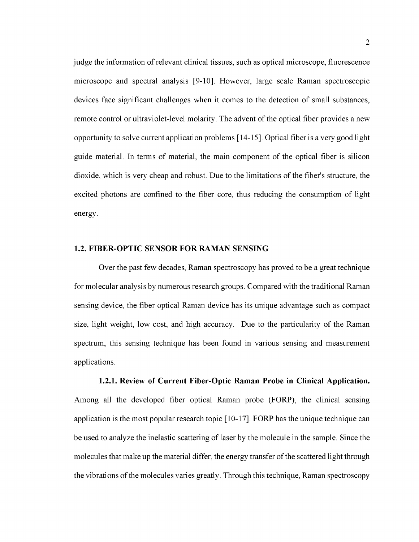judge the information of relevant clinical tissues, such as optical microscope, fluorescence microscope and spectral analysis [9-10]. However, large scale Raman spectroscopic devices face significant challenges when it comes to the detection of small substances, remote control or ultraviolet-level molarity. The advent of the optical fiber provides a new opportunity to solve current application problems [14-15]. Optical fiber is a very good light guide material. In terms of material, the main component of the optical fiber is silicon dioxide, which is very cheap and robust. Due to the limitations of the fiber's structure, the excited photons are confined to the fiber core, thus reducing the consumption of light energy.

## <span id="page-11-0"></span>**1.2. FIBER-OPTIC SENSOR FOR RAMAN SENSING**

Over the past few decades, Raman spectroscopy has proved to be a great technique for molecular analysis by numerous research groups. Compared with the traditional Raman sensing device, the fiber optical Raman device has its unique advantage such as compact size, light weight, low cost, and high accuracy. Due to the particularity of the Raman spectrum, this sensing technique has been found in various sensing and measurement applications.

**1.2.1. Review of Current Fiber-Optic Raman Probe in Clinical Application.** Among all the developed fiber optical Raman probe (FORP), the clinical sensing application is the most popular research topic [10-17]. FORP has the unique technique can be used to analyze the inelastic scattering of laser by the molecule in the sample. Since the molecules that make up the material differ, the energy transfer of the scattered light through the vibrations of the molecules varies greatly. Through this technique, Raman spectroscopy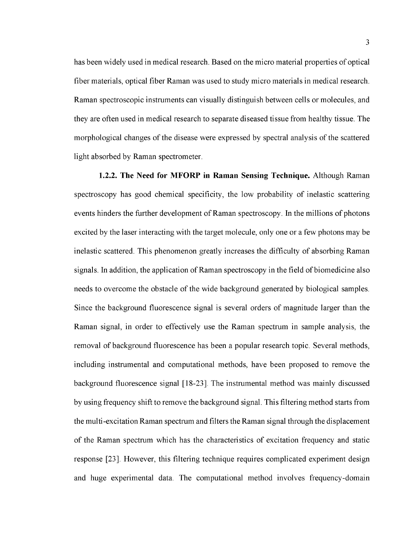has been widely used in medical research. Based on the micro material properties of optical fiber materials, optical fiber Raman was used to study micro materials in medical research. Raman spectroscopic instruments can visually distinguish between cells or molecules, and they are often used in medical research to separate diseased tissue from healthy tissue. The morphological changes of the disease were expressed by spectral analysis of the scattered light absorbed by Raman spectrometer.

**1.2.2. The Need for MFORP in Raman Sensing Technique.** Although Raman spectroscopy has good chemical specificity, the low probability of inelastic scattering events hinders the further development of Raman spectroscopy. In the millions of photons excited by the laser interacting with the target molecule, only one or a few photons may be inelastic scattered. This phenomenon greatly increases the difficulty of absorbing Raman signals. In addition, the application of Raman spectroscopy in the field of biomedicine also needs to overcome the obstacle of the wide background generated by biological samples. Since the background fluorescence signal is several orders of magnitude larger than the Raman signal, in order to effectively use the Raman spectrum in sample analysis, the removal of background fluorescence has been a popular research topic. Several methods, including instrumental and computational methods, have been proposed to remove the background fluorescence signal [18-23]. The instrumental method was mainly discussed by using frequency shift to remove the background signal. This filtering method starts from the multi-excitation Raman spectrum and filters the Raman signal through the displacement of the Raman spectrum which has the characteristics of excitation frequency and static response [23]. However, this filtering technique requires complicated experiment design and huge experimental data. The computational method involves frequency-domain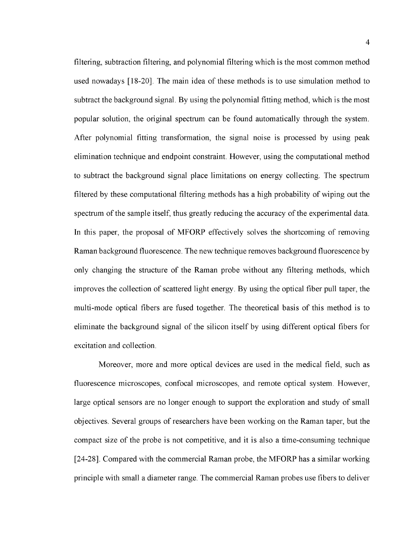filtering, subtraction filtering, and polynomial filtering which is the most common method used nowadays [18-20]. The main idea of these methods is to use simulation method to subtract the background signal. By using the polynomial fitting method, which is the most popular solution, the original spectrum can be found automatically through the system. After polynomial fitting transformation, the signal noise is processed by using peak elimination technique and endpoint constraint. However, using the computational method to subtract the background signal place limitations on energy collecting. The spectrum filtered by these computational filtering methods has a high probability of wiping out the spectrum of the sample itself, thus greatly reducing the accuracy of the experimental data. In this paper, the proposal of MFORP effectively solves the shortcoming of removing Raman background fluorescence. The new technique removes background fluorescence by only changing the structure of the Raman probe without any filtering methods, which improves the collection of scattered light energy. By using the optical fiber pull taper, the multi-mode optical fibers are fused together. The theoretical basis of this method is to eliminate the background signal of the silicon itself by using different optical fibers for excitation and collection.

Moreover, more and more optical devices are used in the medical field, such as fluorescence microscopes, confocal microscopes, and remote optical system. However, large optical sensors are no longer enough to support the exploration and study of small objectives. Several groups of researchers have been working on the Raman taper, but the compact size of the probe is not competitive, and it is also a time-consuming technique [24-28]. Compared with the commercial Raman probe, the MFORP has a similar working principle with small a diameter range. The commercial Raman probes use fibers to deliver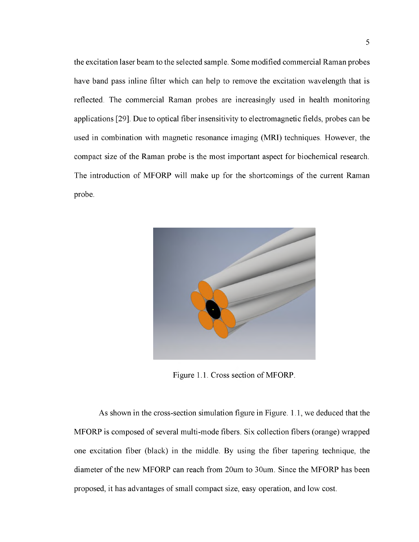the excitation laser beam to the selected sample. Some modified commercial Raman probes have band pass inline filter which can help to remove the excitation wavelength that is reflected. The commercial Raman probes are increasingly used in health monitoring applications [29]. Due to optical fiber insensitivity to electromagnetic fields, probes can be used in combination with magnetic resonance imaging (MRI) techniques. However, the compact size of the Raman probe is the most important aspect for biochemical research. The introduction of MFORP will make up for the shortcomings of the current Raman probe.



Figure 1.1. Cross section of MFORP.

As shown in the cross-section simulation figure in Figure. 1.1, we deduced that the MFORP is composed of several multi-mode fibers. Six collection fibers (orange) wrapped one excitation fiber (black) in the middle. By using the fiber tapering technique, the diameter of the new MFORP can reach from 20um to 30um. Since the MFORP has been proposed, it has advantages of small compact size, easy operation, and low cost.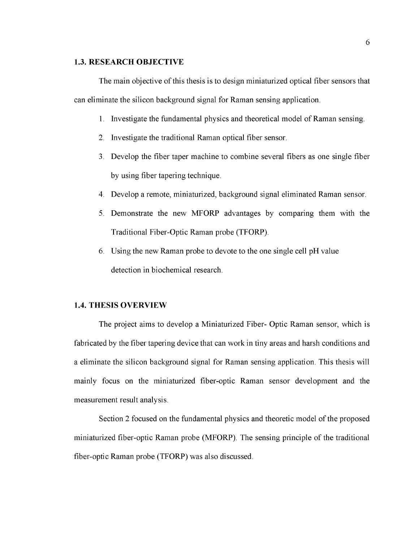#### <span id="page-15-0"></span>**1.3. RESEARCH OBJECTIVE**

The main objective of this thesis is to design miniaturized optical fiber sensors that can eliminate the silicon background signal for Raman sensing application.

- 1. Investigate the fundamental physics and theoretical model of Raman sensing.
- 2. Investigate the traditional Raman optical fiber sensor.
- 3. Develop the fiber taper machine to combine several fibers as one single fiber by using fiber tapering technique.
- 4. Develop a remote, miniaturized, background signal eliminated Raman sensor.
- 5. Demonstrate the new MFORP advantages by comparing them with the Traditional Fiber-Optic Raman probe (TFORP).
- 6. Using the new Raman probe to devote to the one single cell pH value detection in biochemical research.

## <span id="page-15-1"></span>**1.4. THESIS OVERVIEW**

The project aims to develop a Miniaturized Fiber- Optic Raman sensor, which is fabricated by the fiber tapering device that can work in tiny areas and harsh conditions and a eliminate the silicon background signal for Raman sensing application. This thesis will mainly focus on the miniaturized fiber-optic Raman sensor development and the measurement result analysis.

Section 2 focused on the fundamental physics and theoretic model of the proposed miniaturized fiber-optic Raman probe (MFORP). The sensing principle of the traditional fiber-optic Raman probe (TFORP) was also discussed.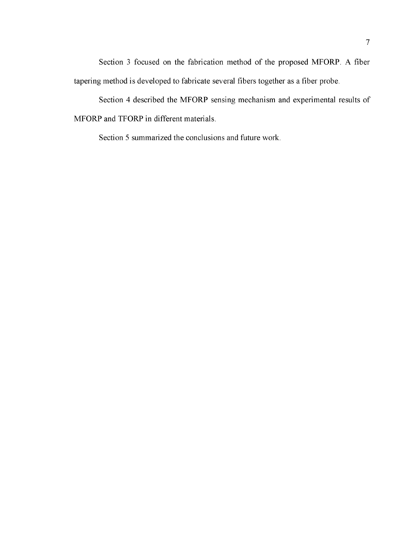Section 3 focused on the fabrication method of the proposed MFORP. A fiber tapering method is developed to fabricate several fibers together as a fiber probe.

Section 4 described the MFORP sensing mechanism and experimental results of MFORP and TFORP in different materials.

Section 5 summarized the conclusions and future work.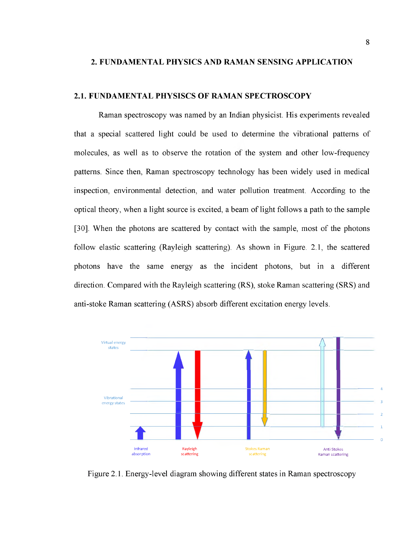#### <span id="page-17-0"></span>**2. FUNDAMENTAL PHYSICS AND RAMAN SENSING APPLICATION**

#### <span id="page-17-1"></span>**2.1. FUNDAMENTAL PHYSISCS OF RAMAN SPECTROSCOPY**

Raman spectroscopy was named by an Indian physicist. His experiments revealed that a special scattered light could be used to determine the vibrational patterns of molecules, as well as to observe the rotation of the system and other low-frequency patterns. Since then, Raman spectroscopy technology has been widely used in medical inspection, environmental detection, and water pollution treatment. According to the optical theory, when a light source is excited, a beam of light follows a path to the sample [30]. When the photons are scattered by contact with the sample, most of the photons follow elastic scattering (Rayleigh scattering). As shown in Figure. 2.1, the scattered photons have the same energy as the incident photons, but in a different direction. Compared with the Rayleigh scattering (RS), stoke Raman scattering (SRS) and anti-stoke Raman scattering (ASRS) absorb different excitation energy levels.



Figure 2.1. Energy-level diagram showing different states in Raman spectroscopy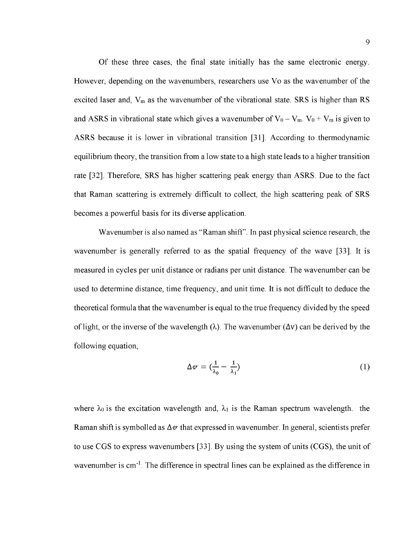Of these three cases, the final state initially has the same electronic energy. However, depending on the wavenumbers, researchers use Vo as the wavenumber of the excited laser and,  $V_m$  as the wavenumber of the vibrational state. SRS is higher than RS and ASRS in vibrational state which gives a wavenumber of  $V_0 - V_m$ .  $V_0 + V_m$  is given to ASRS because it is lower in vibrational transition [31]. According to thermodynamic equilibrium theory, the transition from a low state to a high state leads to a higher transition rate [32]. Therefore, SRS has higher scattering peak energy than ASRS. Due to the fact that Raman scattering is extremely difficult to collect, the high scattering peak of SRS becomes a powerful basis for its diverse application.

Wavenumber is also named as "Raman shift". In past physical science research, the wavenumber is generally referred to as the spatial frequency of the wave [33]. It is measured in cycles per unit distance or radians per unit distance. The wavenumber can be used to determine distance, time frequency, and unit time. It is not difficult to deduce the theoretical formula that the wavenumber is equal to the true frequency divided by the speed of light, or the inverse of the wavelength  $(\lambda)$ . The wavenumber  $(\Delta v)$  can be derived by the following equation,

$$
\Delta v = \left(\frac{1}{\lambda_0} - \frac{1}{\lambda_1}\right) \tag{1}
$$

where  $\lambda_0$  is the excitation wavelength and,  $\lambda_1$  is the Raman spectrum wavelength. the Raman shift is symbolled as  $\Delta v$  that expressed in wavenumber. In general, scientists prefer to use CGS to express wavenumbers [33]. By using the system of units (CGS), the unit of wavenumber is cm<sup>-1</sup>. The difference in spectral lines can be explained as the difference in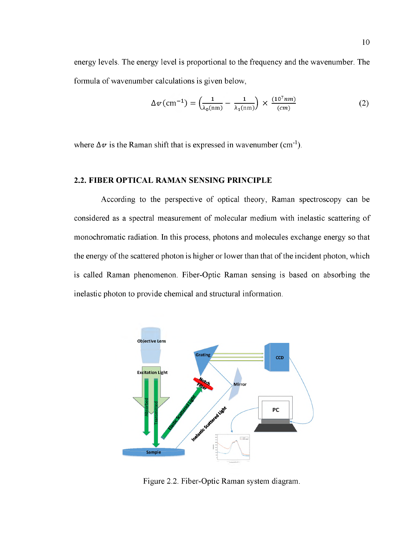energy levels. The energy level is proportional to the frequency and the wavenumber. The formula of wavenumber calculations is given below,

$$
\Delta v \text{ (cm}^{-1}\text{)} = \left(\frac{1}{\lambda_0 \text{(nm)}} - \frac{1}{\lambda_1 \text{(nm)}}\right) \times \frac{(10^7 \text{nm})}{(cm)} \tag{2}
$$

where  $\Delta v$  is the Raman shift that is expressed in wavenumber (cm<sup>-1</sup>).

## <span id="page-19-0"></span>**2.2. FIBER OPTICAL RAMAN SENSING PRINCIPLE**

According to the perspective of optical theory, Raman spectroscopy can be considered as a spectral measurement of molecular medium with inelastic scattering of monochromatic radiation. In this process, photons and molecules exchange energy so that the energy of the scattered photon is higher or lower than that of the incident photon, which is called Raman phenomenon. Fiber-Optic Raman sensing is based on absorbing the inelastic photon to provide chemical and structural information.



Figure 2.2. Fiber-Optic Raman system diagram.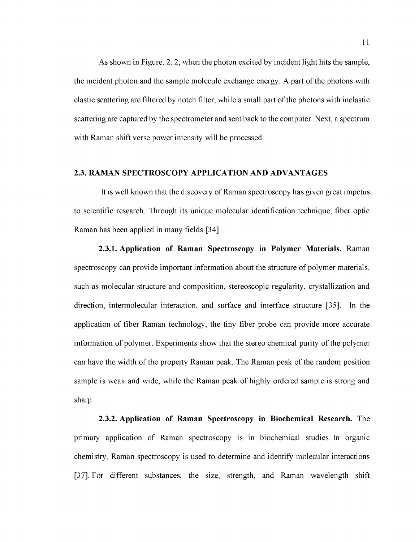As shown in Figure. 2. 2, when the photon excited by incident light hits the sample, the incident photon and the sample molecule exchange energy. A part of the photons with elastic scattering are filtered by notch filter, while a small part of the photons with inelastic scattering are captured by the spectrometer and sent back to the computer. Next, a spectrum with Raman shift verse power intensity will be processed.

#### <span id="page-20-0"></span>**2.3. RAMAN SPECTROSCOPY APPLICATION AND ADVANTAGES**

It is well known that the discovery of Raman spectroscopy has given great impetus to scientific research. Through its unique molecular identification technique, fiber optic Raman has been applied in many fields [34].

**2.3.1. Application of Raman Spectroscopy in Polymer Materials.** Raman spectroscopy can provide important information about the structure of polymer materials, such as molecular structure and composition, stereoscopic regularity, crystallization and direction, intermolecular interaction, and surface and interface structure [35]. In the application of fiber Raman technology, the tiny fiber probe can provide more accurate information of polymer. Experiments show that the stereo chemical purity of the polymer can have the width of the property Raman peak. The Raman peak of the random position sample is weak and wide, while the Raman peak of highly ordered sample is strong and sharp.

<span id="page-20-1"></span>**2.3.2. Application of Raman Spectroscopy in Biochemical Research.** The primary application of Raman spectroscopy is in biochemical studies. In organic chemistry, Raman spectroscopy is used to determine and identify molecular interactions [37]. For different substances, the size, strength, and Raman wavelength shift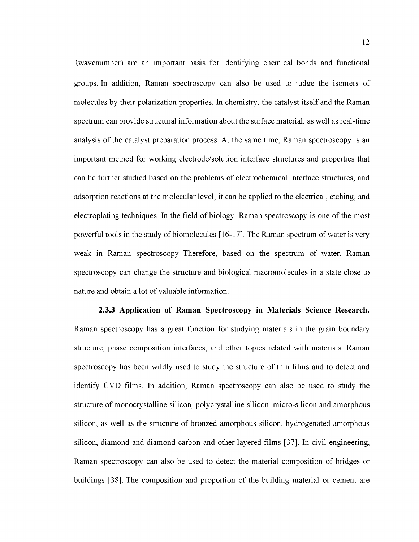(wavenumber) are an important basis for identifying chemical bonds and functional groups. In addition, Raman spectroscopy can also be used to judge the isomers of molecules by their polarization properties. In chemistry, the catalyst itself and the Raman spectrum can provide structural information about the surface material, as well as real-time analysis of the catalyst preparation process. At the same time, Raman spectroscopy is an important method for working electrode/solution interface structures and properties that can be further studied based on the problems of electrochemical interface structures, and adsorption reactions at the molecular level; it can be applied to the electrical, etching, and electroplating techniques. In the field of biology, Raman spectroscopy is one of the most powerful tools in the study of biomolecules [16-17]. The Raman spectrum of water is very weak in Raman spectroscopy. Therefore, based on the spectrum of water, Raman spectroscopy can change the structure and biological macromolecules in a state close to nature and obtain a lot of valuable information.

**2.3.3 Application of Raman Spectroscopy in Materials Science Research.** Raman spectroscopy has a great function for studying materials in the grain boundary structure, phase composition interfaces, and other topics related with materials. Raman spectroscopy has been wildly used to study the structure of thin films and to detect and identify CVD films. In addition, Raman spectroscopy can also be used to study the structure of monocrystalline silicon, polycrystalline silicon, micro-silicon and amorphous silicon, as well as the structure of bronzed amorphous silicon, hydrogenated amorphous silicon, diamond and diamond-carbon and other layered films [37]. In civil engineering, Raman spectroscopy can also be used to detect the material composition of bridges or buildings [38]. The composition and proportion of the building material or cement are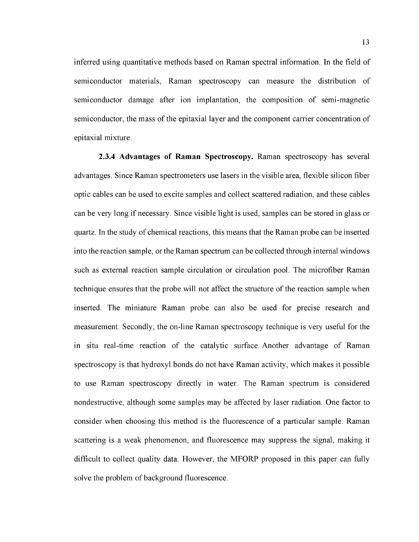inferred using quantitative methods based on Raman spectral information. In the field of semiconductor materials, Raman spectroscopy can measure the distribution of semiconductor damage after ion implantation, the composition of semi-magnetic semiconductor, the mass of the epitaxial layer and the component carrier concentration of epitaxial mixture.

**2.3.4 Advantages of Raman Spectroscopy.** Raman spectroscopy has several advantages. Since Raman spectrometers use lasers in the visible area, flexible silicon fiber optic cables can be used to excite samples and collect scattered radiation, and these cables can be very long if necessary. Since visible light is used, samples can be stored in glass or quartz. In the study of chemical reactions, this means that the Raman probe can be inserted into the reaction sample, or the Raman spectrum can be collected through internal windows such as external reaction sample circulation or circulation pool. The microfiber Raman technique ensures that the probe will not affect the structure of the reaction sample when inserted. The miniature Raman probe can also be used for precise research and measurement. Secondly, the on-line Raman spectroscopy technique is very useful for the in situ real-time reaction of the catalytic surface. Another advantage of Raman spectroscopy is that hydroxyl bonds do not have Raman activity, which makes it possible to use Raman spectroscopy directly in water. The Raman spectrum is considered nondestructive, although some samples may be affected by laser radiation. One factor to consider when choosing this method is the fluorescence of a particular sample. Raman scattering is a weak phenomenon, and fluorescence may suppress the signal, making it difficult to collect quality data. However, the MFORP proposed in this paper can fully solve the problem of background fluorescence.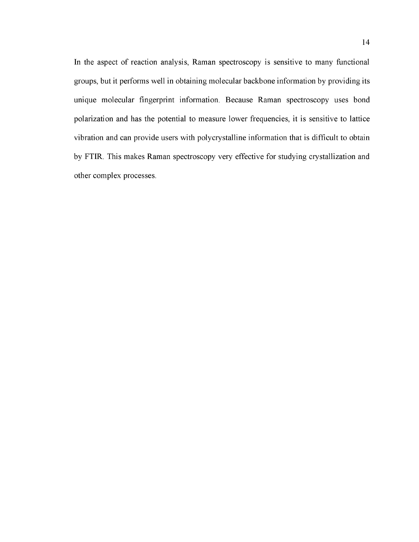In the aspect of reaction analysis, Raman spectroscopy is sensitive to many functional groups, but it performs well in obtaining molecular backbone information by providing its unique molecular fingerprint information. Because Raman spectroscopy uses bond polarization and has the potential to measure lower frequencies, it is sensitive to lattice vibration and can provide users with polycrystalline information that is difficult to obtain by FTIR. This makes Raman spectroscopy very effective for studying crystallization and other complex processes.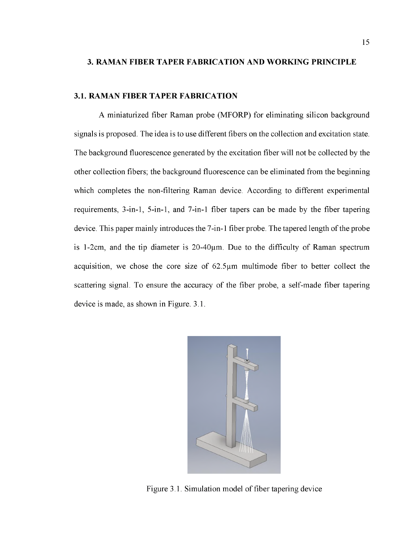#### <span id="page-24-1"></span><span id="page-24-0"></span>**3. RAMAN FIBER TAPER FABRICATION AND WORKING PRINCIPLE**

#### **3.1. RAMAN FIBER TAPER FABRICATION**

A miniaturized fiber Raman probe (MFORP) for eliminating silicon background signals is proposed. The idea is to use different fibers on the collection and excitation state. The background fluorescence generated by the excitation fiber will not be collected by the other collection fibers; the background fluorescence can be eliminated from the beginning which completes the non-filtering Raman device. According to different experimental requirements, 3-in-1, 5-in-1, and 7-in-1 fiber tapers can be made by the fiber tapering device. This paper mainly introduces the 7-in-1 fiber probe. The tapered length of the probe is 1-2cm, and the tip diameter is  $20-40\mu$ m. Due to the difficulty of Raman spectrum acquisition, we chose the core size of  $62.5\mu m$  multimode fiber to better collect the scattering signal. To ensure the accuracy of the fiber probe, a self-made fiber tapering device is made, as shown in Figure. 3.1.



Figure 3.1. Simulation model of fiber tapering device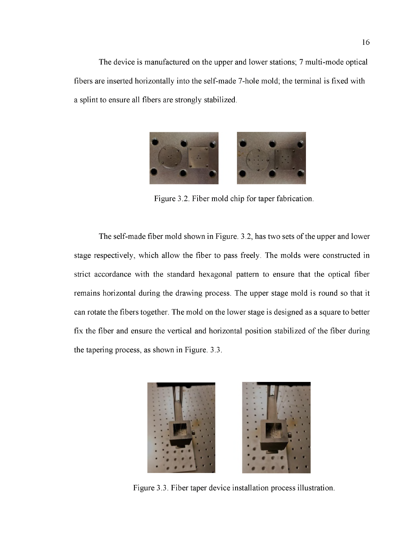The device is manufactured on the upper and lower stations; 7 multi-mode optical fibers are inserted horizontally into the self-made 7-hole mold; the terminal is fixed with a splint to ensure all fibers are strongly stabilized.



Figure 3.2. Fiber mold chip for taper fabrication.

The self-made fiber mold shown in Figure. 3.2, has two sets of the upper and lower stage respectively, which allow the fiber to pass freely. The molds were constructed in strict accordance with the standard hexagonal pattern to ensure that the optical fiber remains horizontal during the drawing process. The upper stage mold is round so that it can rotate the fibers together. The mold on the lower stage is designed as a square to better fix the fiber and ensure the vertical and horizontal position stabilized of the fiber during the tapering process, as shown in Figure. 3.3.



Figure 3.3. Fiber taper device installation process illustration.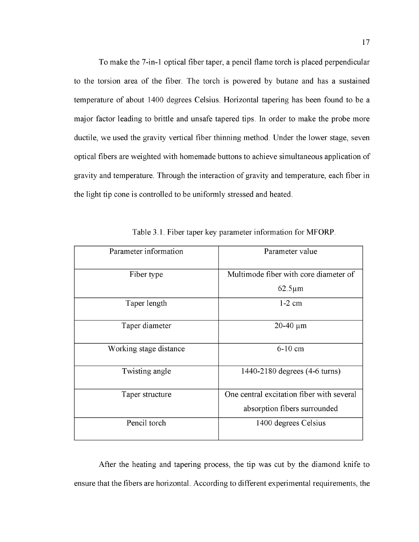To make the 7-in-1 optical fiber taper, a pencil flame torch is placed perpendicular to the torsion area of the fiber. The torch is powered by butane and has a sustained temperature of about 1400 degrees Celsius. Horizontal tapering has been found to be a major factor leading to brittle and unsafe tapered tips. In order to make the probe more ductile, we used the gravity vertical fiber thinning method. Under the lower stage, seven optical fibers are weighted with homemade buttons to achieve simultaneous application of gravity and temperature. Through the interaction of gravity and temperature, each fiber in the light tip cone is controlled to be uniformly stressed and heated.

| Parameter information  | Parameter value                           |
|------------------------|-------------------------------------------|
| Fiber type             | Multimode fiber with core diameter of     |
|                        | $62.5 \mu m$                              |
| Taper length           | $1-2$ cm                                  |
| Taper diameter         | $20-40 \mu m$                             |
| Working stage distance | $6-10$ cm                                 |
| Twisting angle         | 1440-2180 degrees (4-6 turns)             |
| Taper structure        | One central excitation fiber with several |
|                        | absorption fibers surrounded              |
| Pencil torch           | 1400 degrees Celsius                      |

Table 3.1. Fiber taper key parameter information for MFORP.

After the heating and tapering process, the tip was cut by the diamond knife to ensure that the fibers are horizontal. According to different experimental requirements, the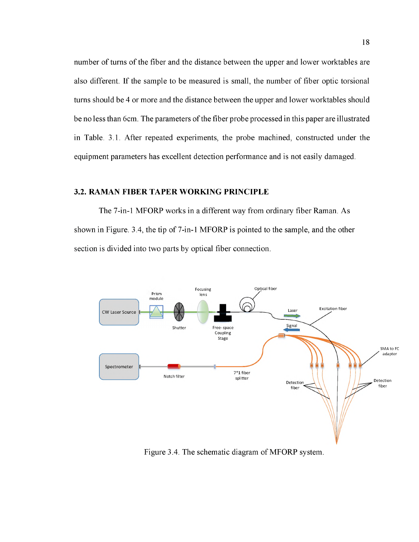number of turns of the fiber and the distance between the upper and lower worktables are also different. If the sample to be measured is small, the number of fiber optic torsional turns should be 4 or more and the distance between the upper and lower worktables should be no less than 6cm. The parameters of the fiber probe processed in this paper are illustrated in Table. 3.1. After repeated experiments, the probe machined, constructed under the equipment parameters has excellent detection performance and is not easily damaged.

## <span id="page-27-0"></span>**3.2. RAMAN FIBER TAPER WORKING PRINCIPLE**

The 7-in-1 MFORP works in a different way from ordinary fiber Raman. As shown in Figure. 3.4, the tip of 7-in-1 MFORP is pointed to the sample, and the other section is divided into two parts by optical fiber connection.



Figure 3.4. The schematic diagram of MFORP system.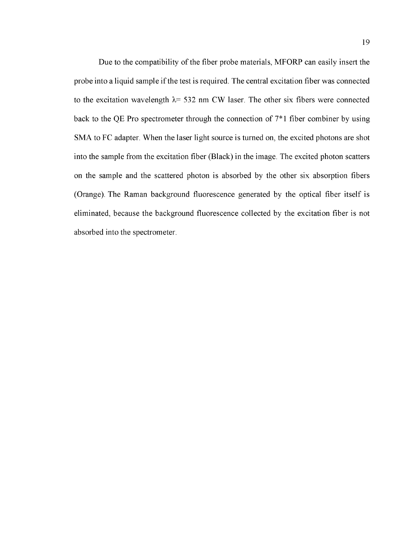Due to the compatibility of the fiber probe materials, MFORP can easily insert the probe into a liquid sample if the test is required. The central excitation fiber was connected to the excitation wavelength  $\lambda$ = 532 nm CW laser. The other six fibers were connected back to the QE Pro spectrometer through the connection of 7\*1 fiber combiner by using SMA to FC adapter. When the laser light source is turned on, the excited photons are shot into the sample from the excitation fiber (Black) in the image. The excited photon scatters on the sample and the scattered photon is absorbed by the other six absorption fibers (Orange). The Raman background fluorescence generated by the optical fiber itself is eliminated, because the background fluorescence collected by the excitation fiber is not absorbed into the spectrometer.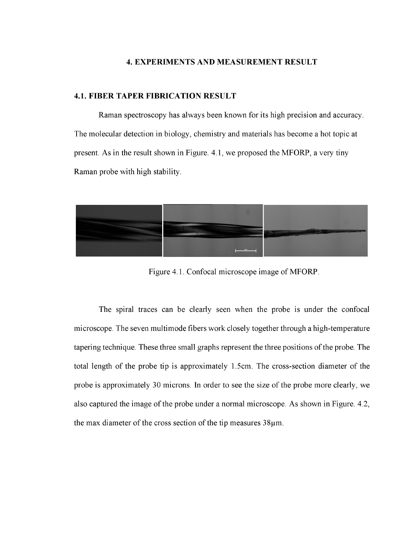## <span id="page-29-0"></span>**4. EXPERIMENTS AND MEASUREMENT RESULT**

#### <span id="page-29-1"></span>**4.1. FIBER TAPER FIBRICATION RESULT**

Raman spectroscopy has always been known for its high precision and accuracy. The molecular detection in biology, chemistry and materials has become a hot topic at present. As in the result shown in Figure. 4.1, we proposed the MFORP, a very tiny Raman probe with high stability.



Figure 4.1. Confocal microscope image of MFORP.

The spiral traces can be clearly seen when the probe is under the confocal microscope. The seven multimode fibers work closely together through a high-temperature tapering technique. These three small graphs represent the three positions of the probe. The total length of the probe tip is approximately 1.5cm. The cross-section diameter of the probe is approximately 30 microns. In order to see the size of the probe more clearly, we also captured the image of the probe under a normal microscope. As shown in Figure. 4.2, the max diameter of the cross section of the tip measures  $38\mu$ m.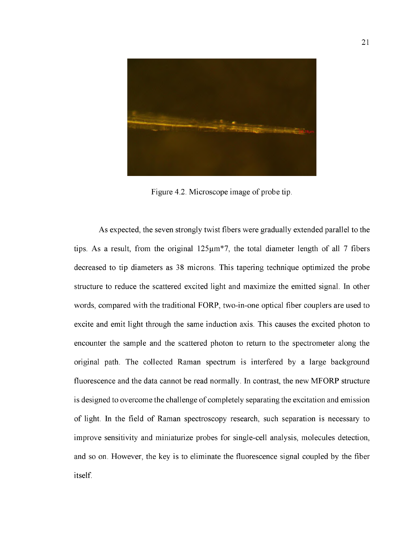

Figure 4.2. Microscope image of probe tip.

As expected, the seven strongly twist fibers were gradually extended parallel to the tips. As a result, from the original  $125\mu m*7$ , the total diameter length of all 7 fibers decreased to tip diameters as 38 microns. This tapering technique optimized the probe structure to reduce the scattered excited light and maximize the emitted signal. In other words, compared with the traditional FORP, two-in-one optical fiber couplers are used to excite and emit light through the same induction axis. This causes the excited photon to encounter the sample and the scattered photon to return to the spectrometer along the original path. The collected Raman spectrum is interfered by a large background fluorescence and the data cannot be read normally. In contrast, the new MFORP structure is designed to overcome the challenge of completely separating the excitation and emission of light. In the field of Raman spectroscopy research, such separation is necessary to improve sensitivity and miniaturize probes for single-cell analysis, molecules detection, and so on. However, the key is to eliminate the fluorescence signal coupled by the fiber itself.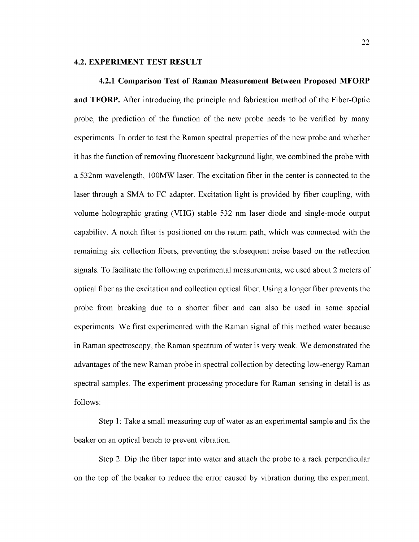#### <span id="page-31-0"></span>**4.2. EXPERIMENT TEST RESULT**

**4.2.1 Comparison Test of Raman Measurement Between Proposed MFORP and TFORP.** After introducing the principle and fabrication method of the Fiber-Optic probe, the prediction of the function of the new probe needs to be verified by many experiments. In order to test the Raman spectral properties of the new probe and whether it has the function of removing fluorescent background light, we combined the probe with a 532nm wavelength, 100MW laser. The excitation fiber in the center is connected to the laser through a SMA to FC adapter. Excitation light is provided by fiber coupling, with volume holographic grating (VHG) stable 532 nm laser diode and single-mode output capability. A notch filter is positioned on the return path, which was connected with the remaining six collection fibers, preventing the subsequent noise based on the reflection signals. To facilitate the following experimental measurements, we used about 2 meters of optical fiber as the excitation and collection optical fiber. Using a longer fiber prevents the probe from breaking due to a shorter fiber and can also be used in some special experiments. We first experimented with the Raman signal of this method water because in Raman spectroscopy, the Raman spectrum of water is very weak. We demonstrated the advantages of the new Raman probe in spectral collection by detecting low-energy Raman spectral samples. The experiment processing procedure for Raman sensing in detail is as follows:

Step 1: Take a small measuring cup of water as an experimental sample and fix the beaker on an optical bench to prevent vibration.

Step 2: Dip the fiber taper into water and attach the probe to a rack perpendicular on the top of the beaker to reduce the error caused by vibration during the experiment.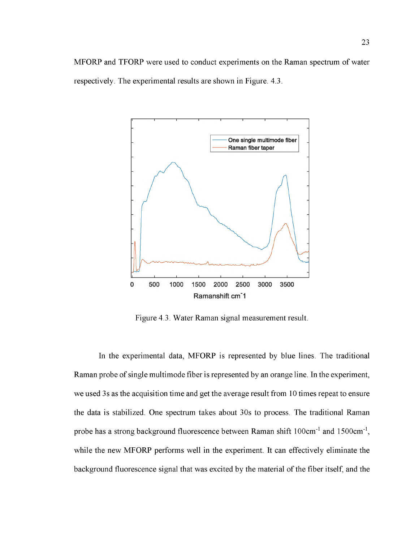MFORP and TFORP were used to conduct experiments on the Raman spectrum of water respectively. The experimental results are shown in Figure. 4.3.



Figure 4.3. Water Raman signal measurement result.

In the experimental data, MFORP is represented by blue lines. The traditional Raman probe of single multimode fiber is represented by an orange line. In the experiment, we used 3s as the acquisition time and get the average result from 10 times repeat to ensure the data is stabilized. One spectrum takes about 30s to process. The traditional Raman probe has a strong background fluorescence between Raman shift 100cm<sup>-1</sup> and 1500cm<sup>-1</sup>, while the new MFORP performs well in the experiment. It can effectively eliminate the background fluorescence signal that was excited by the material of the fiber itself, and the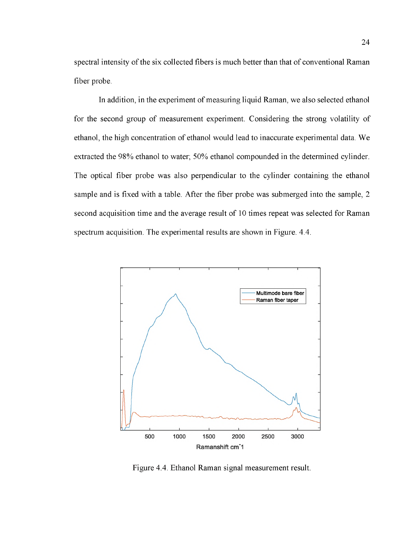spectral intensity of the six collected fibers is much better than that of conventional Raman fiber probe.

In addition, in the experiment of measuring liquid Raman, we also selected ethanol for the second group of measurement experiment. Considering the strong volatility of ethanol, the high concentration of ethanol would lead to inaccurate experimental data. We extracted the 98% ethanol to water; 50% ethanol compounded in the determined cylinder. The optical fiber probe was also perpendicular to the cylinder containing the ethanol sample and is fixed with a table. After the fiber probe was submerged into the sample, 2 second acquisition time and the average result of 10 times repeat was selected for Raman spectrum acquisition. The experimental results are shown in Figure. 4.4.



**Figure 4.4. Ethanol Raman signal measurement result.**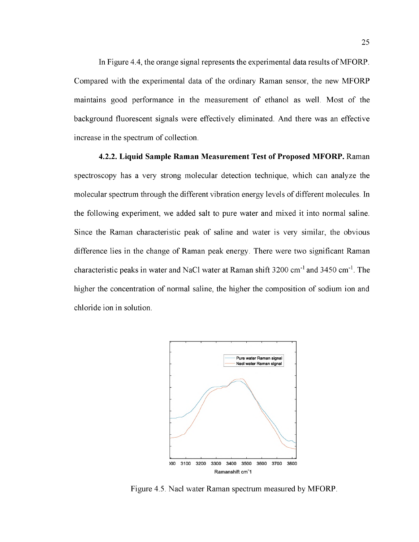In Figure 4.4, the orange signal represents the experimental data results of MFORP. Compared with the experimental data of the ordinary Raman sensor, the new MFORP maintains good performance in the measurement of ethanol as well. Most of the background fluorescent signals were effectively eliminated. And there was an effective increase in the spectrum of collection.

**4.2.2. Liquid Sample Raman Measurement Test of Proposed MFORP.** Raman spectroscopy has a very strong molecular detection technique, which can analyze the molecular spectrum through the different vibration energy levels of different molecules. In the following experiment, we added salt to pure water and mixed it into normal saline. Since the Raman characteristic peak of saline and water is very similar, the obvious difference lies in the change of Raman peak energy. There were two significant Raman characteristic peaks in water and NaCl water at Raman shift  $3200 \text{ cm}^{-1}$  and  $3450 \text{ cm}^{-1}$ . The higher the concentration of normal saline, the higher the composition of sodium ion and chloride ion in solution.



**Figure 4.5. Nacl water Raman spectrum measured by MFORP.**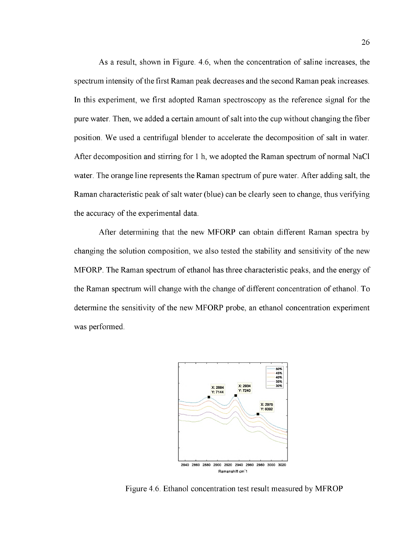As a result, shown in Figure. 4.6, when the concentration of saline increases, the spectrum intensity of the first Raman peak decreases and the second Raman peak increases. In this experiment, we first adopted Raman spectroscopy as the reference signal for the pure water. Then, we added a certain amount of salt into the cup without changing the fiber position. We used a centrifugal blender to accelerate the decomposition of salt in water. After decomposition and stirring for 1 h, we adopted the Raman spectrum of normal NaCl water. The orange line represents the Raman spectrum of pure water. After adding salt, the Raman characteristic peak of salt water (blue) can be clearly seen to change, thus verifying the accuracy of the experimental data.

After determining that the new MFORP can obtain different Raman spectra by changing the solution composition, we also tested the stability and sensitivity of the new MFORP. The Raman spectrum of ethanol has three characteristic peaks, and the energy of the Raman spectrum will change with the change of different concentration of ethanol. To determine the sensitivity of the new MFORP probe, an ethanol concentration experiment was performed.



**Figure 4.6. Ethanol concentration test result measured by MFROP**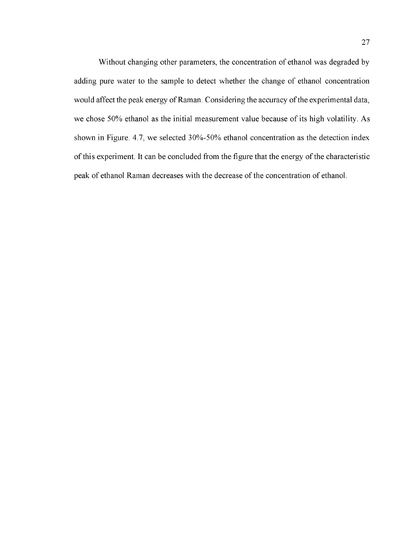Without changing other parameters, the concentration of ethanol was degraded by adding pure water to the sample to detect whether the change of ethanol concentration would affect the peak energy of Raman. Considering the accuracy of the experimental data, we chose 50% ethanol as the initial measurement value because of its high volatility. As shown in Figure. 4.7, we selected 30%-50% ethanol concentration as the detection index of this experiment. It can be concluded from the figure that the energy of the characteristic peak of ethanol Raman decreases with the decrease of the concentration of ethanol.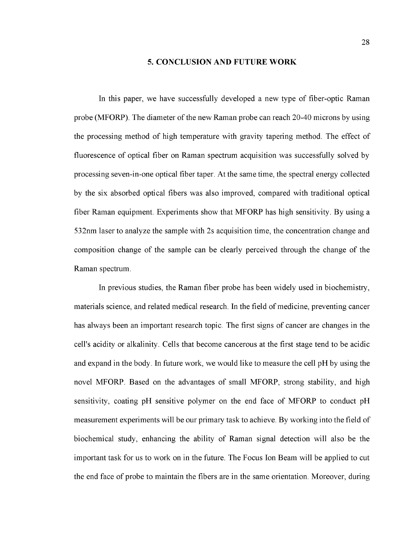#### <span id="page-37-0"></span>**5. CONCLUSION AND FUTURE WORK**

In this paper, we have successfully developed a new type of fiber-optic Raman probe (MFORP). The diameter of the new Raman probe can reach 20-40 microns by using the processing method of high temperature with gravity tapering method. The effect of fluorescence of optical fiber on Raman spectrum acquisition was successfully solved by processing seven-in-one optical fiber taper. At the same time, the spectral energy collected by the six absorbed optical fibers was also improved, compared with traditional optical fiber Raman equipment. Experiments show that MFORP has high sensitivity. By using a 532nm laser to analyze the sample with 2s acquisition time, the concentration change and composition change of the sample can be clearly perceived through the change of the Raman spectrum.

In previous studies, the Raman fiber probe has been widely used in biochemistry, materials science, and related medical research. In the field of medicine, preventing cancer has always been an important research topic. The first signs of cancer are changes in the cell's acidity or alkalinity. Cells that become cancerous at the first stage tend to be acidic and expand in the body. In future work, we would like to measure the cell pH by using the novel MFORP. Based on the advantages of small MFORP, strong stability, and high sensitivity, coating pH sensitive polymer on the end face of MFORP to conduct pH measurement experiments will be our primary task to achieve. By working into the field of biochemical study, enhancing the ability of Raman signal detection will also be the important task for us to work on in the future. The Focus Ion Beam will be applied to cut the end face of probe to maintain the fibers are in the same orientation. Moreover, during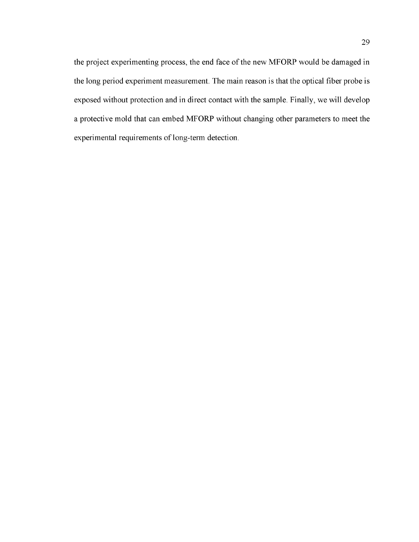the project experimenting process, the end face of the new MFORP would be damaged in the long period experiment measurement. The main reason is that the optical fiber probe is exposed without protection and in direct contact with the sample. Finally, we will develop a protective mold that can embed MFORP without changing other parameters to meet the experimental requirements of long-term detection.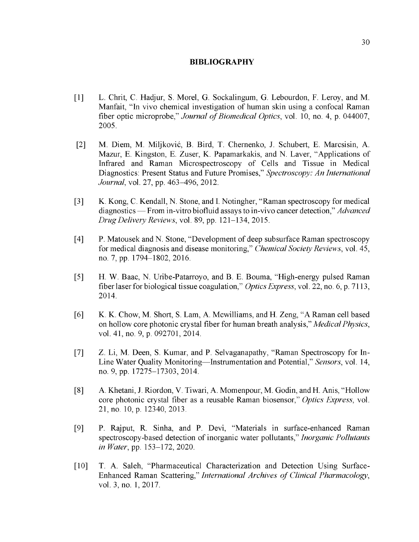#### <span id="page-39-0"></span>**BIBLIOGRAPHY**

- [1] L. Chrit, C. Hadjur, S. Morel, G. Sockalingum, G. Lebourdon, F. Leroy, and M. Manfait, "In vivo chemical investigation of human skin using a confocal Raman fiber optic microprobe," *Journal of Biomedical Optics*, vol. 10, no. 4, p. 044007, 2005.
- [2] M. Diem, M. Miljkovic, B. Bird, T. Chernenko, J. Schubert, E. Marcsisin, A. Mazur, E. Kingston, E. Zuser, K. Papamarkakis, and N. Laver, "Applications of Infrared and Raman Microspectroscopy of Cells and Tissue in Medical Diagnostics: Present Status and Future Promises," *Spectroscopy: An International Journal,* vol. 27, pp. 463-496, 2012.
- [3] K. Kong, C. Kendall, N. Stone, and I. Notingher, "Raman spectroscopy for medical diagnostics — From in-vitro biofluid assays to in-vivo cancer detection," *Advanced Drug Delivery Reviews,* vol. 89, pp. 121-134, 2015.
- [4] P. Matousek and N. Stone, "Development of deep subsurface Raman spectroscopy for medical diagnosis and disease monitoring," *Chemical Society Reviews,* vol. 45, no. 7, pp. 1794-1802, 2016.
- [5] H. W. Baac, N. Uribe-Patarroyo, and B. E. Bouma, "High-energy pulsed Raman fiber laser for biological tissue coagulation," *Optics Express,* vol. 22, no. 6, p. 7113, 2014.
- [6] K. K. Chow, M. Short, S. Lam, A. Mcwilliams, and H. Zeng, "A Raman cell based on hollow core photonic crystal fiber for human breath analysis," *Medical Physics*, vol. 41, no. 9, p. 092701, 2014.
- [7] Z. Li, M. Deen, S. Kumar, and P. Selvaganapathy, "Raman Spectroscopy for In-Line Water Quality Monitoring—Instrumentation and Potential," *Sensors,* vol. 14, no. 9, pp. 17275-17303, 2014.
- [8] A. Khetani, J. Riordon, V. Tiwari, A. Momenpour, M. Godin, and H. Anis, "Hollow core photonic crystal fiber as a reusable Raman biosensor," *Optics Express*, vol. 21, no. 10, p. 12340, 2013.
- [9] P. Rajput, R. Sinha, and P. Devi, "Materials in surface-enhanced Raman spectroscopy-based detection of inorganic water pollutants," *Inorganic Pollutants in Water,* pp. 153-172, 2020.
- [10] T. A. Saleh, "Pharmaceutical Characterization and Detection Using Surface-Enhanced Raman Scattering," *International Archives of Clinical Pharmacology*, vol. 3, no. 1, 2017.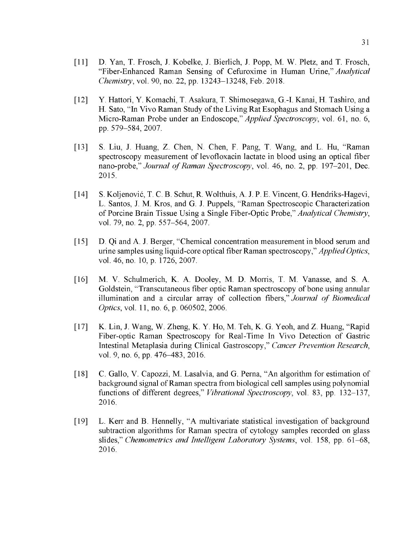- [11] D. Yan, T. Frosch, J. Kobelke, J. Bierlich, J. Popp, M. W. Pletz, and T. Frosch, "Fiber-Enhanced Raman Sensing of Cefuroxime in Human Urine," *Analytical Chemistry,* vol. 90, no. 22, pp. 13243-13248, Feb. 2018.
- [12] Y. Hattori, Y. Komachi, T. Asakura, T. Shimosegawa, G.-I. Kanai, H. Tashiro, and H. Sato, "In Vivo Raman Study of the Living Rat Esophagus and Stomach Using a Micro-Raman Probe under an Endoscope," *Applied Spectroscopy,* vol. 61, no. 6, pp. 579-584, 2007.
- [13] S. Liu, J. Huang, Z. Chen, N. Chen, F. Pang, T. Wang, and L. Hu, "Raman spectroscopy measurement of levofloxacin lactate in blood using an optical fiber nano-probe," *Journal of Raman Spectroscopy*, vol. 46, no. 2, pp. 197-201, Dec. 2015.
- [14] S. Koljenovic, T. C. B. Schut, R. Wolthuis, A. J. P. E. Vincent, G. Hendriks-Hagevi, L. Santos, J. M. Kros, and G. J. Puppels, "Raman Spectroscopic Characterization of Porcine Brain Tissue Using a Single Fiber-Optic Probe," *Analytical Chemistry,* vol. 79, no. 2, pp. 557-564, 2007.
- [15] D. Qi and A. J. Berger, "Chemical concentration measurement in blood serum and urine samples using liquid-core optical fiber Raman spectroscopy," *Applied Optics,* vol. 46, no. 10, p. 1726, 2007.
- [16] M. V. Schulmerich, K. A. Dooley, M. D. Morris, T. M. Vanasse, and S. A. Goldstein, "Transcutaneous fiber optic Raman spectroscopy of bone using annular illumination and a circular array of collection fibers," *Journal of Biomedical Optics,* vol. 11, no. 6, p. 060502, 2006.
- [17] K. Lin, J. Wang, W. Zheng, K. Y. Ho, M. Teh, K. G. Yeoh, and Z. Huang, "Rapid Fiber-optic Raman Spectroscopy for Real-Time In Vivo Detection of Gastric Intestinal Metaplasia during Clinical Gastroscopy," *Cancer Prevention Research*, vol. 9, no. 6, pp. 476-483, 2016.
- [18] C. Gallo, V. Capozzi, M. Lasalvia, and G. Perna, "An algorithm for estimation of background signal of Raman spectra from biological cell samples using polynomial functions of different degrees," *Vibrational Spectroscopy,* vol. 83, pp. 132-137, 2016.
- [19] L. Kerr and B. Hennelly, "A multivariate statistical investigation of background subtraction algorithms for Raman spectra of cytology samples recorded on glass slides," *Chemometrics and Intelligent Laboratory Systems,* vol. 158, pp. 61-68, 2016.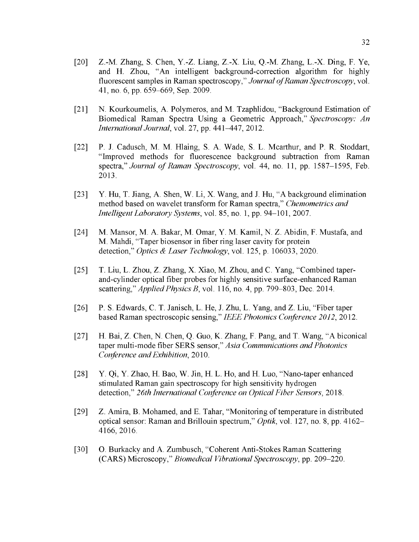- [20] Z.-M. Zhang, S. Chen, Y.-Z. Liang, Z.-X. Liu, Q.-M. Zhang, L.-X. Ding, F. Ye, and H. Zhou, "An intelligent background-correction algorithm for highly fluorescent samples in Raman spectroscopy," *Journal of Raman Spectroscopy*, vol. 41, no. 6, pp. 659-669, Sep. 2009.
- [21] N. Kourkoumelis, A. Polymeros, and M. Tzaphlidou, "Background Estimation of Biomedical Raman Spectra Using a Geometric Approach," *Spectroscopy: An International Journal,* vol. 27, pp. 441-447, 2012.
- [22] P. J. Cadusch, M. M. Hlaing, S. A. Wade, S. L. Mcarthur, and P. R. Stoddart, "Improved methods for fluorescence background subtraction from Raman spectra," *Journal of Raman Spectroscopy*, vol. 44, no. 11, pp. 1587–1595, Feb. 2013.
- [23] Y. Hu, T. Jiang, A. Shen, W. Li, X. Wang, and J. Hu, "A background elimination method based on wavelet transform for Raman spectra," *Chemometrics and Intelligent Laboratory Systems,* vol. 85, no. 1, pp. 94-101, 2007.
- [24] M. Mansor, M. A. Bakar, M. Omar, Y. M. Kamil, N. Z. Abidin, F. Mustafa, and M. Mahdi, "Taper biosensor in fiber ring laser cavity for protein detection," *Optics & Laser Technology,* vol. 125, p. 106033, 2020.
- [25] T. Liu, L. Zhou, Z. Zhang, X. Xiao, M. Zhou, and C. Yang, "Combined taperand-cylinder optical fiber probes for highly sensitive surface-enhanced Raman scattering," *Applied Physics B,* vol. 116, no. 4, pp. 799-803, Dec. 2014.
- [26] P. S. Edwards, C. T. Janisch, L. He, J. Zhu, L. Yang, and Z. Liu, "Fiber taper based Raman spectroscopic sensing," *IEEE Photonics Conference 2012,* 2012.
- [27] H. Bai, Z. Chen, N. Chen, Q. Guo, K. Zhang, F. Pang, and T. Wang, "A biconical taper multi-mode fiber SERS sensor," *Asia Communications and Photonics Conference and Exhibition,* 2010.
- [28] Y. Qi, Y. Zhao, H. Bao, W. Jin, H. L. Ho, and H. Luo, "Nano-taper enhanced stimulated Raman gain spectroscopy for high sensitivity hydrogen detection," *26th International Conference on Optical Fiber Sensors,* 2018.
- [29] Z. Amira, B. Mohamed, and E. Tahar, "Monitoring of temperature in distributed optical sensor: Raman and Brillouin spectrum," *Optik,* vol. 127, no. 8, pp. 4162 4166, 2016.
- [30] O. Burkacky and A. Zumbusch, "Coherent Anti-Stokes Raman Scattering (CARS) Microscopy," *Biomedical Vibrational Spectroscopy,* pp. 209-220.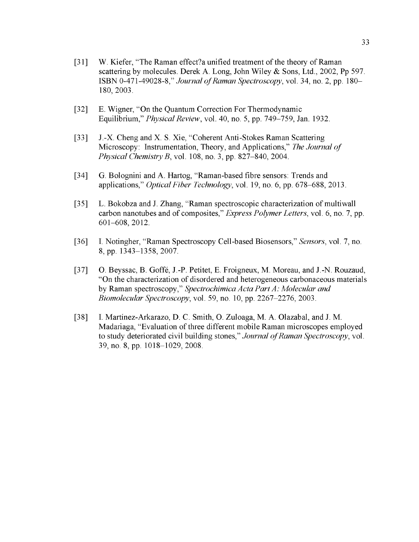- [31] W. Kiefer, "The Raman effect?a unified treatment of the theory of Raman scattering by molecules. Derek A. Long, John Wiley & Sons, Ltd., 2002, Pp 597. ISBN 0-471-49028-8," *Journal of Raman Spectroscopy*, vol. 34, no. 2, pp. 180– 180, 2003.
- [32] E. Wigner, "On the Quantum Correction For Thermodynamic Equilibrium," *Physical Review,* vol. 40, no. 5, pp. 749-759, Jan. 1932.
- [33] J.-X. Cheng and X. S. Xie, "Coherent Anti-Stokes Raman Scattering Microscopy: Instrumentation, Theory, and Applications," *The Journal of Physical Chemistry B,* vol. 108, no. 3, pp. 827-840, 2004.
- [34] G. Bolognini and A. Hartog, "Raman-based fibre sensors: Trends and applications," *Optical Fiber Technology,* vol. 19, no. 6, pp. 678-688, 2013.
- [35] L. Bokobza and J. Zhang, "Raman spectroscopic characterization of multiwall carbon nanotubes and of composites," *Express Polymer Letters,* vol. 6, no. 7, pp. 601-608, 2012.
- [36] I. Notingher, "Raman Spectroscopy Cell-based Biosensors," *Sensors,* vol. 7, no. 8, pp. 1343-1358, 2007.
- [37] O. Beyssac, B. Goffe, J.-P. Petitet, E. Froigneux, M. Moreau, and J.-N. Rouzaud, "On the characterization of disordered and heterogeneous carbonaceous materials by Raman spectroscopy," *Spectrochimica Acta Part A: Molecular and Biomolecular Spectroscopy,* vol. 59, no. 10, pp. 2267-2276, 2003.
- [38] I. Martinez-Arkarazo, D. C. Smith, O. Zuloaga, M. A. Olazabal, and J. M. Madariaga, "Evaluation of three different mobile Raman microscopes employed to study deteriorated civil building stones," Journal of Raman Spectroscopy, vol. 39, no. 8, pp. 1018-1029, 2008.